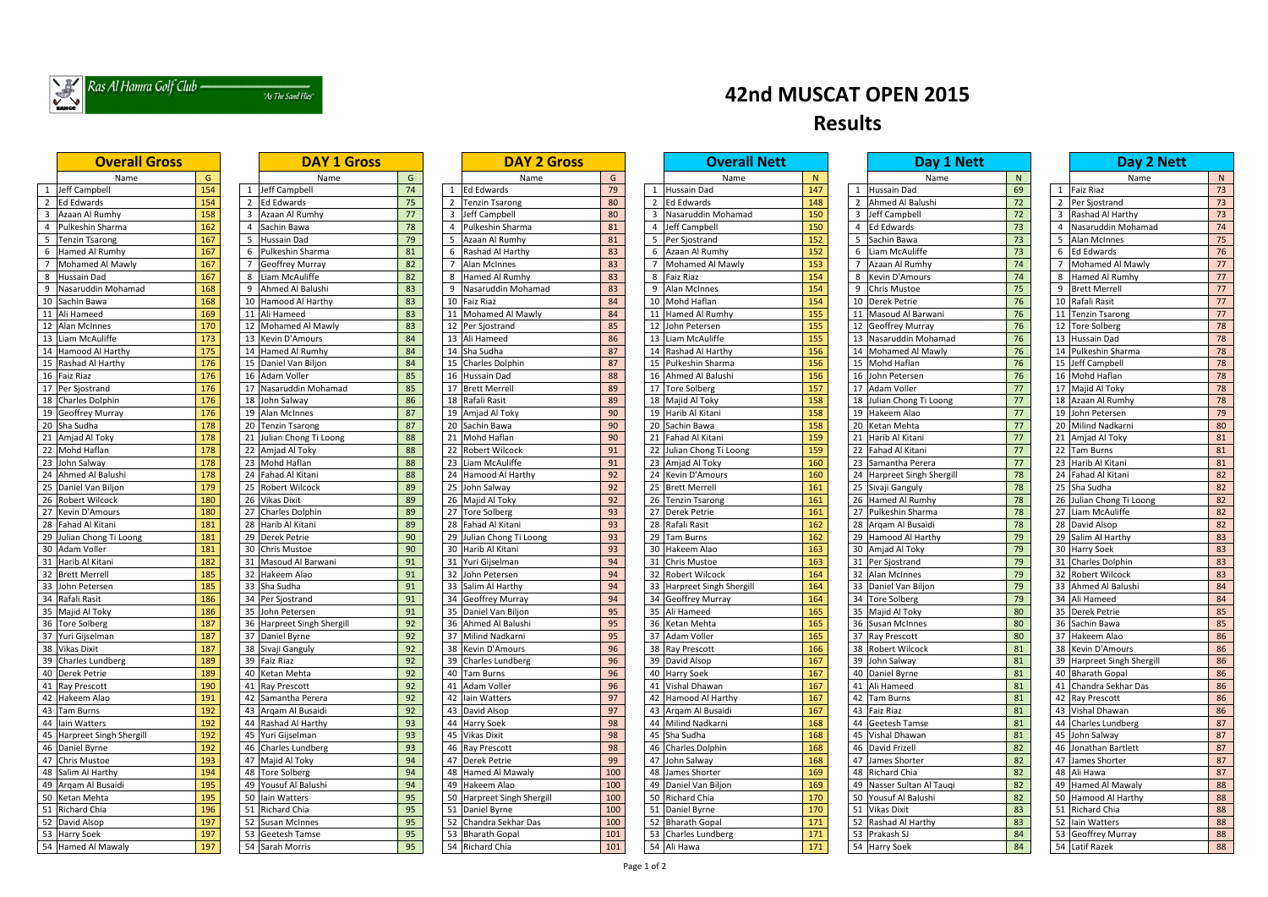

### "As The Sand Flies"

| <b>Overall Gross</b>       |                  |                 | <b>DAY 1 Gross</b>         |    | <b>DAY 2 Gross</b>                                |     |    | <b>Overall Nett</b>            |     | Day 1 Nett                         |        | Day 2 Nett                 |              |
|----------------------------|------------------|-----------------|----------------------------|----|---------------------------------------------------|-----|----|--------------------------------|-----|------------------------------------|--------|----------------------------|--------------|
| Name                       | G                |                 | Name                       | G  | Name                                              | G   |    | Name                           | N   | Name                               | N      | Name                       | $\mathsf{N}$ |
| Jeff Campbell              | 154              |                 | Jeff Campbell              | 74 | <b>Ed Edwards</b>                                 | 79  |    | <b>Hussain Dad</b>             | 147 | 1 Hussain Dad                      | 69     | 1 Faiz Riaz                | 73           |
| Ed Edwards                 | 154              |                 | <b>Ed Edwards</b>          | 75 | <b>Tenzin Tsarong</b>                             | 80  |    | <b>Ed Edwards</b>              | 148 | 2 Ahmed Al Balushi                 | $72\,$ | 2 Per Sjostrand            | 73           |
| Azaan Al Rumhy             | 158              |                 | Azaan Al Rumhy             | 77 | Jeff Campbell                                     | 80  |    | Nasaruddin Mohamad             | 150 | 3 Jeff Campbell                    | 72     | Rashad Al Harthy           | 73           |
| Pulkeshin Sharma           | $\overline{162}$ |                 | Sachin Bawa                | 78 | Pulkeshin Sharma                                  | 81  |    | Jeff Campbell                  | 150 | 4 Ed Edwards                       | 73     | Nasaruddin Mohamad         | 74           |
| <b>Tenzin Tsarong</b>      | 167              |                 | Hussain Dad                | 79 | Azaan Al Rumhy<br>5                               | 81  |    | Per Sjostrand                  | 152 | 5 Sachin Bawa                      | 73     | 5 Alan McInnes             | 75           |
| Hamed Al Rumhy             | 167              |                 | Pulkeshin Sharma           | 81 | Rashad Al Harthy                                  | 83  | -6 | Azaan Al Rumhy                 | 152 | Liam McAuliffe<br>6                | 73     | 6 Ed Edwards               | 76           |
| Mohamed Al Mawly           | 167              |                 | <b>Geoffrey Murray</b>     | 82 | Alan McInnes                                      | 83  |    | Mohamed Al Mawly               | 153 | 7 Azaan Al Rumhy                   | 74     | Mohamed Al Mawly           | 77           |
| <b>Hussain Dad</b>         | 167              | 8               | Liam McAuliffe             | 82 | Hamed Al Rumhy<br>8                               | 83  | -8 | <b>Faiz Riaz</b>               | 154 | Kevin D'Amours<br>8                | 74     | <b>Hamed Al Rumhy</b>      | 77           |
| Nasaruddin Mohamad         | 168              |                 | 9 Ahmed Al Balushi         | 83 | Nasaruddin Mohamad<br>9                           | 83  | 9  | Alan McInnes                   | 154 | 9 Chris Mustoe                     | 75     | 9 Brett Merrell            | 77           |
| 10 Sachin Bawa             | 168              | 10 <sup>°</sup> | Hamood Al Harthy           | 83 | 10 Faiz Riaz                                      | 84  |    | 10 Mohd Haflan                 | 154 | 10 Derek Petrie                    | 76     | 10 Rafali Rasit            | 77           |
| 11 Ali Hameed              | 169              |                 | 11 Ali Hameed              | 83 | 11 Mohamed Al Mawly                               | 84  |    | 11 Hamed Al Rumhy              | 155 | 11 Masoud Al Barwani               | 76     | 11 Tenzin Tsarong          | 77           |
| Alan McInnes               | 170              | 12              | Mohamed Al Mawly           | 83 | 12 Per Sjostrand                                  | 85  |    | 12 John Petersen               | 155 | 12 Geoffrey Murray                 | 76     | 12 Tore Solberg            | 78           |
| Liam McAuliffe             | $\frac{173}{2}$  | 13              | Kevin D'Amours             | 84 | 13 Ali Hameed                                     | 86  |    | 13 Liam McAuliffe              | 155 | 13 Nasaruddin Mohamad              | 76     | 13 Hussain Dad             | 78           |
| Hamood Al Harthy           | 175              | 14              | Hamed Al Rumhy             | 84 | Sha Sudha                                         | 87  |    | 14 Rashad Al Harthy            | 156 | 14 Mohamed Al Mawly                | 76     | 14 Pulkeshin Sharma        | 78           |
| 15 Rashad Al Harthy        | 176              |                 |                            | 84 | <b>Charles Dolphin</b>                            |     |    | 15 Pulkeshin Sharma            | 156 | 15 Mohd Haflan                     | 76     | 15 Jeff Campbell           | 78           |
|                            | 176              | 15              | Daniel Van Biljon          |    | 15                                                | 87  |    |                                |     |                                    |        |                            |              |
| 16 Faiz Riaz               |                  |                 | 16 Adam Voller             | 85 | Hussain Dad                                       | 88  | 16 | Ahmed Al Balushi               | 156 | 16 John Petersen<br>17 Adam Voller | 76     | 16 Mohd Haflan             | 78           |
| 17 Per Sjostrand           | 176              | 17              | Nasaruddin Mohamad         | 85 | <b>Brett Merrell</b><br>17                        | 89  |    | 17 Tore Solberg                | 157 |                                    | 77     | 17 Majid Al Toky           | 78           |
| 18 Charles Dolphin         | 176              | 18              | John Salway                | 86 | 18 Rafali Rasit                                   | 89  |    | 18 Majid Al Toky               | 158 | 18 Julian Chong Ti Loong           | 77     | 18 Azaan Al Rumhy          | 78           |
| 19 Geoffrey Murray         | 176              |                 | 19 Alan McInnes            | 87 | 19 Amjad Al Toky                                  | 90  |    | 19 Harib Al Kitani             | 158 | 19 Hakeem Alao                     | 77     | 19 John Petersen           | 79           |
| 20 Sha Sudha               | 178              |                 | 20 Tenzin Tsarong          | 87 | 20 Sachin Bawa                                    | 90  |    | 20 Sachin Bawa                 | 158 | 20 Ketan Mehta                     | 77     | 20 Milind Nadkarni         | 80           |
| 21 Amjad Al Toky           | 178              |                 | 21 Julian Chong Ti Loong   | 88 | Mohd Haflan<br>21                                 | 90  |    | 21 Fahad Al Kitani             | 159 | 21 Harib Al Kitani                 | 77     | 21 Amjad Al Toky           | 81           |
| 22 Mohd Haflan             | 178              |                 | 22 Amjad Al Toky           | 88 | 22 Robert Wilcock                                 | 91  |    | 22 Julian Chong Ti Loong       | 159 | 22 Fahad Al Kitani                 | 77     | 22 Tam Burns               | 81           |
| 23 John Salway             | 178              |                 | 23 Mohd Haflan             | 88 | 23 Liam McAuliffe                                 | 91  |    | 23 Amjad Al Toky               | 160 | 23 Samantha Perera                 | 77     | 23 Harib Al Kitani         | 81           |
| 24 Ahmed Al Balushi        | 178              |                 | 24 Fahad Al Kitani         | 88 | 24 Hamood Al Harthy                               | 92  |    | 24 Kevin D'Amours              | 160 | 24 Harpreet Singh Shergill         | 78     | 24 Fahad Al Kitani         | 82           |
| 25 Daniel Van Biljon       | 179              |                 | 25 Robert Wilcock          | 89 | 25 John Salway                                    | 92  |    | 25 Brett Merrell               | 161 | 25 Sivaji Ganguly                  | 78     | 25 Sha Sudha               | 82           |
| 26 Robert Wilcock          | 180              |                 | 26 Vikas Dixit             | 89 | 26 Majid Al Toky                                  | 92  |    | 26 Tenzin Tsarong              | 161 | 26 Hamed Al Rumhy                  | 78     | 26 Julian Chong Ti Loong   | 82           |
| 27 Kevin D'Amours          | 180              |                 | 27 Charles Dolphin         | 89 | 27 Tore Solberg                                   | 93  |    | 27 Derek Petrie                | 161 | 27 Pulkeshin Sharma                | 78     | 27 Liam McAuliffe          | 82           |
| 28 Fahad Al Kitani         | 181              |                 | 28 Harib Al Kitani         | 89 | 28 Fahad Al Kitani                                | 93  | 28 | Rafali Rasit                   | 162 | 28 Argam Al Busaidi                | 78     | 28 David Alsop             | 82           |
| 29 Julian Chong Ti Loong   | 181              | 29              | Derek Petrie               | 90 | 29 Julian Chong Ti Loong                          | 93  |    | 29 Tam Burns                   | 162 | 29 Hamood Al Harthy                | 79     | 29 Salim Al Harthy         | 83           |
| 30 Adam Voller             | 181              |                 | 30 Chris Mustoe            | 90 | 30 Harib Al Kitani                                | 93  |    | 30 Hakeem Alao                 | 163 | 30 Amjad Al Toky                   | 79     | 30 Harry Soek              | 83           |
| Harib Al Kitani<br>31      | 182              |                 | Masoud Al Barwani          | 91 | Yuri Gijselman<br>31                              | 94  | 31 | <b>Chris Mustoe</b>            | 163 | 31 Per Sjostrand                   | 79     | 31 Charles Dolphin         | 83           |
| 32 Brett Merrell           | 185              | 32              | Hakeem Alao                | 91 | 32<br>John Petersen                               | 94  | 32 | <b>Robert Wilcock</b>          | 164 | 32 Alan McInnes                    | 79     | 32 Robert Wilcock          | 83           |
| 33<br>John Petersen        | 185              | 33              | Sha Sudha                  | 91 | 33<br>Salim Al Harthy                             | 94  | 33 | <b>Harpreet Singh Shergill</b> | 164 | 33 Daniel Van Biljon               | 79     | 33 Ahmed Al Balushi        | 84           |
| 34 Rafali Rasit            | 186              | 34              | Per Sjostrand              | 91 | Geoffrey Murray<br>34                             | 94  | 34 | <b>Geoffrey Murray</b>         | 164 | 34 Tore Solberg                    | 79     | 34 Ali Hameed              | 84           |
| 35 Majid Al Toky           | 186              | 35              | John Petersen              | 91 | Daniel Van Biljon<br>35 <sub>1</sub>              | 95  |    | 35 Ali Hameed                  | 165 | 35 Majid Al Toky                   | 80     | 35 Derek Petrie            | 85           |
| 36 Tore Solberg            | 187              |                 | 36 Harpreet Singh Shergill | 92 | 36 Ahmed Al Balushi                               | 95  |    | 36 Ketan Mehta                 | 165 | 36 Susan McInnes                   | 80     | 36 Sachin Bawa             | 85           |
| 37 Yuri Gijselman          | 187              |                 | 37 Daniel Byrne            | 92 | 37 Milind Nadkarni                                | 95  |    | 37 Adam Voller                 | 165 | 37 Ray Prescott                    | 80     | 37 Hakeem Alao             | 86           |
| 38 Vikas Dixit             | 187              |                 | 38 Sivaji Ganguly          | 92 | 38 Kevin D'Amours                                 | 96  |    | 38 Ray Prescott                | 166 | 38 Robert Wilcock                  | 81     | 38 Kevin D'Amours          | 86           |
| 39 Charles Lundberg        | 189              |                 | 39 Faiz Riaz               | 92 | 39 Charles Lundberg                               | 96  |    | 39 David Alsop                 | 167 | 39 John Salway                     | 81     | 39 Harpreet Singh Shergill | 86           |
| 40 Derek Petrie            | 189              |                 | 40 Ketan Mehta             | 92 | 40 Tam Burns                                      | 96  |    | 40 Harry Soek                  | 167 | 40 Daniel Byrne                    | 81     | 40 Bharath Gopal           | 86           |
| 41 Ray Prescott            | 190              |                 | 41 Ray Prescott            | 92 | 41 Adam Voller                                    | 96  |    | 41 Vishal Dhawan               | 167 | 41 Ali Hameed                      | 81     | 41 Chandra Sekhar Das      | 86           |
| 42 Hakeem Alao             | 191              |                 | 42 Samantha Perera         | 92 | 42 Iain Watters                                   | 97  |    | 42 Hamood Al Harthy            | 167 | 42 Tam Burns                       | 81     | 42 Ray Prescott            | 86           |
| 43 Tam Burns               | 192              |                 | 43 Argam Al Busaidi        | 92 | 43 David Alsop                                    | 97  |    | 43 Argam Al Busaidi            | 167 | 43 Faiz Riaz                       | 81     | 43 Vishal Dhawan           | 86           |
| 44 Iain Watters            | 192              |                 | 44 Rashad Al Harthy        | 93 | 44 Harry Soek                                     | 98  |    | 44 Milind Nadkarni             | 168 | 44 Geetesh Tamse                   | 81     | 44 Charles Lundberg        | 87           |
| 45 Harpreet Singh Shergill | 192              |                 | 45 Yuri Gijselman          | 93 | 45 Vikas Dixit                                    | 98  |    | 45 Sha Sudha                   | 168 | 45 Vishal Dhawan                   | 81     | 45 John Salway             | 87           |
| 46 Daniel Byrne            | 192              |                 | 46 Charles Lundberg        | 93 | 46 Ray Prescott                                   | 98  |    | 46 Charles Dolphin             | 168 | 46 David Frizell                   | 82     | 46 Jonathan Bartlett       | 87           |
| 47 Chris Mustoe            | 193              |                 | 47 Majid Al Toky           | 94 | 47 Derek Petrie                                   | 99  |    | 47 John Salway                 | 168 | 47 James Shorter                   | 82     | 47 James Shorter           | 87           |
| 48 Salim Al Harthy         | 194              |                 | 48 Tore Solberg            | 94 | Hamed Al Mawaly<br>48 I                           | 100 |    | 48 James Shorter               | 169 | 48 Richard Chia                    | 82     | 48 Ali Hawa                | 87           |
| 49 Arqam Al Busaidi        | 195              |                 | 49 Yousuf Al Balushi       | 94 | Hakeem Alao<br>49                                 | 100 |    | 49 Daniel Van Biljon           | 169 | 49 Nasser Sultan Al Taugi          | 82     | 49 Hamed Al Mawaly         | 88           |
| 50 Ketan Mehta             | 195              | 50              | lain Watters               | 95 | <b>Harpreet Singh Shergill</b><br>50 <sub>1</sub> | 100 |    | 50 Richard Chia                | 170 | 50 Yousuf Al Balushi               | 82     | 50 Hamood Al Harthy        | 88           |
| 51 Richard Chia            | 196              |                 | 51 Richard Chia            | 95 | 51 Daniel Byrne                                   | 100 |    | 51 Daniel Byrne                | 170 | 51 Vikas Dixit                     | 83     | 51 Richard Chia            | 88           |
| 52 David Alsop             | 197              |                 | 52 Susan McInnes           | 95 | 52 Chandra Sekhar Das                             | 100 |    | 52 Bharath Gopal               | 171 | 52 Rashad Al Harthy                | 83     | 52 Iain Watters            | 88           |
| 53 Harry Soek              | 197              |                 | 53 Geetesh Tamse           | 95 | 53 Bharath Gopal                                  | 101 |    | 53 Charles Lundberg            | 171 | 53 Prakash SJ                      | 84     | 53 Geoffrey Murray         | 88           |
| 54 Hamed Al Mawaly         | 197              |                 | 54 Sarah Morris            | 95 | 54 Richard Chia                                   | 101 |    | 54 Ali Hawa                    | 171 | 54 Harry Soek                      | 84     | 54 Latif Razek             | 88           |
|                            |                  |                 |                            |    |                                                   |     |    |                                |     |                                    |        |                            |              |

|                | <b>Overall Gross</b>       |     |              | <b>DAY 1 Gross</b>         |    |                | <b>DAY 2 Gross</b>      |     |                  |
|----------------|----------------------------|-----|--------------|----------------------------|----|----------------|-------------------------|-----|------------------|
|                | Name                       | G   |              | Name                       | G  |                | Name                    | G   |                  |
|                | 1 Jeff Campbell            | 154 | $\mathbf{1}$ | Jeff Campbell              | 74 | 1              | <b>Ed Edwards</b>       | 79  | $\mathbf 1$      |
|                | 2 Ed Edwards               | 154 | $2^{\circ}$  | <b>Ed Edwards</b>          | 75 | 2              | <b>Tenzin Tsarong</b>   | 80  | $\overline{2}$   |
|                | 3 Azaan Al Rumhy           | 158 | 3            | Azaan Al Rumhy             | 77 | 3              | Jeff Campbell           | 80  | $\overline{3}$   |
| 4              | Pulkeshin Sharma           | 162 | 4            | Sachin Bawa                | 78 | $\overline{4}$ | Pulkeshin Sharma        | 81  | $\overline{4}$   |
| 5              | <b>Tenzin Tsarong</b>      | 167 | 5            | <b>Hussain Dad</b>         | 79 | 5              | Azaan Al Rumhy          | 81  | $\sf 5$          |
| 6              | Hamed Al Rumhy             | 167 | 6            | Pulkeshin Sharma           | 81 | 6              | Rashad Al Harthy        | 83  | $\boldsymbol{6}$ |
| $\overline{7}$ | Mohamed Al Mawly           | 167 | 7            | <b>Geoffrey Murray</b>     | 82 | 7              | Alan McInnes            | 83  | $\overline{7}$   |
| 8              | <b>Hussain Dad</b>         | 167 | 8            | Liam McAuliffe             | 82 | 8              | Hamed Al Rumhy          | 83  | 8                |
| 9              | Nasaruddin Mohamad         | 168 | 9            | Ahmed Al Balushi           | 83 | 9              | Nasaruddin Mohamad      | 83  | $\overline{9}$   |
|                | 10 Sachin Bawa             | 168 | 10           | <b>Hamood Al Harthy</b>    | 83 | 10             | <b>Faiz Riaz</b>        | 84  | 10               |
|                | 11 Ali Hameed              | 169 | 11           | Ali Hameed                 | 83 | 11             | Mohamed Al Mawly        | 84  | 11               |
| 12             | <b>Alan McInnes</b>        | 170 | 12           | Mohamed Al Mawly           | 83 | 12             | Per Sjostrand           | 85  | 12               |
|                | 13 Liam McAuliffe          | 173 |              | 13 Kevin D'Amours          | 84 | 13             | Ali Hameed              | 86  | 13               |
|                | 14 Hamood Al Harthy        | 175 |              | 14 Hamed Al Rumhy          | 84 | 14             | Sha Sudha               | 87  | 14               |
|                | 15 Rashad Al Harthy        | 176 |              | 15 Daniel Van Biljon       | 84 | 15             | <b>Charles Dolphin</b>  | 87  | 15               |
|                | 16 Faiz Riaz               | 176 | 16           | <b>Adam Voller</b>         | 85 | 16             | <b>Hussain Dad</b>      | 88  | 16               |
|                | 17 Per Sjostrand           | 176 | 17           | Nasaruddin Mohamad         | 85 | 17             | <b>Brett Merrell</b>    | 89  | 17               |
|                | 18 Charles Dolphin         | 176 |              | 18 John Salway             | 86 | 18             | Rafali Rasit            | 89  | 18               |
|                | 19 Geoffrey Murray         | 176 | 19           | <b>Alan McInnes</b>        | 87 | 19             | Amjad Al Toky           | 90  | 19               |
|                | 20 Sha Sudha               | 178 | 20           | <b>Tenzin Tsarong</b>      | 87 | 20             | Sachin Bawa             | 90  | 20               |
| 21             | Amjad Al Toky              | 178 | 21           | Julian Chong Ti Loong      | 88 | 21             | Mohd Haflan             | 90  | 21               |
|                | 22 Mohd Haflan             | 178 |              | 22 Amjad Al Toky           | 88 | 22             | <b>Robert Wilcock</b>   | 91  | 22               |
|                | 23 John Salway             | 178 | 23           | Mohd Haflan                | 88 | 23             | Liam McAuliffe          | 91  | 23               |
|                | 24 Ahmed Al Balushi        | 178 | 24           | Fahad Al Kitani            | 88 | 24             | Hamood Al Harthy        | 92  | 24               |
|                | 25 Daniel Van Biljon       | 179 | 25           | <b>Robert Wilcock</b>      | 89 | 25             | John Salway             | 92  | 25               |
|                | 26 Robert Wilcock          | 180 | 26           | <b>Vikas Dixit</b>         | 89 | 26             | Majid Al Toky           | 92  | 26               |
| 27             | Kevin D'Amours             | 180 | 27           | <b>Charles Dolphin</b>     | 89 | 27             | <b>Tore Solberg</b>     | 93  | 27               |
|                | 28 Fahad Al Kitani         | 181 | 28           | Harib Al Kitani            | 89 | 28             | Fahad Al Kitani         | 93  | 28               |
| 29             | Julian Chong Ti Loong      | 181 | 29           | <b>Derek Petrie</b>        | 90 | 29             | Julian Chong Ti Loong   | 93  | 29               |
|                | 30 Adam Voller             | 181 | 30           | <b>Chris Mustoe</b>        | 90 | 30             | Harib Al Kitani         | 93  | 30               |
|                | 31 Harib Al Kitani         | 182 | 31           | Masoud Al Barwani          | 91 | 31             | Yuri Gijselman          | 94  | 31               |
|                | 32 Brett Merrell           | 185 |              | 32 Hakeem Alao             | 91 | 32             | John Petersen           | 94  | 32               |
|                | 33 John Petersen           | 185 |              | 33 Sha Sudha               | 91 | 33             | Salim Al Harthy         | 94  | 33               |
|                | 34 Rafali Rasit            | 186 |              | 34 Per Sjostrand           | 91 | 34             | <b>Geoffrey Murray</b>  | 94  | 34               |
|                | 35 Majid Al Toky           | 186 |              | 35 John Petersen           | 91 | 35             | Daniel Van Bilion       | 95  | 35               |
|                | 36 Tore Solberg            | 187 |              | 36 Harpreet Singh Shergill | 92 | 36             | Ahmed Al Balushi        | 95  | 36               |
|                | 37 Yuri Gijselman          | 187 |              | 37 Daniel Byrne            | 92 |                | 37 Milind Nadkarni      | 95  | 37               |
|                | 38 Vikas Dixit             | 187 |              | 38 Sivaji Ganguly          | 92 |                | 38 Kevin D'Amours       | 96  | 38               |
|                | 39 Charles Lundberg        | 189 |              | 39 Faiz Riaz               | 92 |                | 39 Charles Lundberg     | 96  | 39               |
|                | 40 Derek Petrie            | 189 |              | 40 Ketan Mehta             | 92 | 40             | Tam Burns               | 96  | 40               |
|                | 41 Ray Prescott            | 190 |              | 41 Ray Prescott            | 92 | 41             | Adam Voller             | 96  | 41               |
|                | 42 Hakeem Alao             | 191 | 42           | Samantha Perera            | 92 | 42             | lain Watters            | 97  | 42               |
|                | 43 Tam Burns               | 192 |              | 43 Argam Al Busaidi        | 92 | 43             | David Alsop             | 97  | 43               |
|                | 44 Iain Watters            | 192 |              | 44 Rashad Al Harthy        | 93 | 44             | <b>Harry Soek</b>       | 98  | 44               |
|                | 45 Harpreet Singh Shergill | 192 |              | 45 Yuri Gijselman          | 93 | 45             | Vikas Dixit             | 98  | 45               |
|                | 46 Daniel Byrne            | 192 |              | 46 Charles Lundberg        | 93 | 46             | <b>Ray Prescott</b>     | 98  | 46               |
|                | 47 Chris Mustoe            | 193 |              | 47 Majid Al Toky           | 94 | 47             | Derek Petrie            | 99  | 47               |
|                | 48 Salim Al Harthy         | 194 |              | 48 Tore Solberg            | 94 | 48             | Hamed Al Mawaly         | 100 | 48               |
|                | 49 Argam Al Busaidi        | 195 |              | 49 Yousuf Al Balushi       | 94 | 49             | Hakeem Alao             | 100 | 49               |
|                | 50  Ketan Mehta            | 195 |              | 50 Iain Watters            | 95 | 50             | Harpreet Singh Shergill | 100 | 50               |
|                | 51 Richard Chia            | 196 |              | 51 Richard Chia            | 95 | 51             | Daniel Byrne            | 100 | 51               |
|                | 52 David Alsop             | 197 |              | 52 Susan McInnes           | 95 | 52             | Chandra Sekhar Das      | 100 | 52               |
|                | 53 Harry Soek              | 197 |              | 53 Geetesh Tamse           | 95 | 53             | <b>Bharath Gopal</b>    | 101 | 53               |
|                | 54 Hamed Al Mawaly         | 197 |              | 54 Sarah Morris            | 95 |                | 54 Richard Chia         | 101 | 54               |

|            |                | <b>DAY 1 Gross</b>                      |          |                | <b>DAY 2 Gross</b>              |          |          | <b>Overall Nett</b>      |            |                | Day 1 Nett                          |          |    | Day 2 Nett                          |              |
|------------|----------------|-----------------------------------------|----------|----------------|---------------------------------|----------|----------|--------------------------|------------|----------------|-------------------------------------|----------|----|-------------------------------------|--------------|
| G          |                | Name                                    | G        |                | Name                            | G        |          | Name                     | N.         |                | Name                                | N        |    | Name                                | $\mathsf{N}$ |
| 154        |                | Jeff Campbell                           | 74       | 1              | <b>Ed Edwards</b>               | 79       |          | <b>Hussain Dad</b>       | 147        |                | 1 Hussain Dad                       | 69       |    | <b>Faiz Riaz</b>                    | 73           |
| 154        | $\overline{2}$ | <b>Ed Edwards</b>                       | 75       | $\overline{2}$ | <b>Tenzin Tsarong</b>           | 80       |          | <b>Ed Edwards</b>        | 148        |                | 2 Ahmed Al Balushi                  | 72       |    | Per Sjostrand                       | 73           |
| 158        |                | Azaan Al Rumhy                          | $77$     |                | Jeff Campbell                   | 80       |          | Nasaruddin Mohamad       | 150        | $\overline{3}$ | Jeff Campbell                       | 72       |    | Rashad Al Harthy                    | 73           |
| 162        |                | Sachin Bawa                             | 78       |                | Pulkeshin Sharma                | 81       |          | Jeff Campbell            | 150        |                | <b>Ed Edwards</b>                   | 73       |    | Nasaruddin Mohamad                  | 74           |
| 167        | 5              | Hussain Dad                             | 79       |                | Azaan Al Rumhy                  | 81       | 5        | Per Sjostrand            | 152        |                | 5 Sachin Bawa                       | 73       |    | Alan McInnes                        | 75           |
| 167        |                | 6 Pulkeshin Sharma                      | 81       |                | Rashad Al Harthy                | 83       | 6        | Azaan Al Rumhy           | 152        | 6              | Liam McAuliffe                      | 73       |    | <b>Ed Edwards</b>                   | 76           |
| 167        |                | <b>Geoffrey Murray</b>                  | 82       |                | Alan McInnes                    | 83       |          | Mohamed Al Mawly         | 153        |                | Azaan Al Rumhy                      | 74       |    | Mohamed Al Mawly                    | 77           |
| 167        |                | 8 Liam McAuliffe                        | 82       | 8              | Hamed Al Rumhy                  | 83       | 8        | <b>Faiz Riaz</b>         | 154        | 8              | Kevin D'Amours                      | 74       |    | Hamed Al Rumhy                      | 77           |
| 168        |                | 9 Ahmed Al Balushi                      | 83       |                | Nasaruddin Mohamad              | 83       | 9        | Alan McInnes             | 154        | 9              | <b>Chris Mustoe</b>                 | 75       | 9  | <b>Brett Merrell</b>                | 77           |
| 168        |                | 10 Hamood Al Harthy                     | 83       | 10             | <b>Faiz Riaz</b>                | 84       | 10       | Mohd Haflan              | 154        |                | 10 Derek Petrie                     | 76       |    | 10 Rafali Rasit                     | 77           |
| 169        |                | 11 Ali Hameed                           | 83       | 11             | Mohamed Al Mawly                | 84       |          | 11 Hamed Al Rumhy        | 155        |                | 11 Masoud Al Barwani                | 76       |    | 11 Tenzin Tsarong                   | 77           |
| 170        |                | 12 Mohamed Al Mawly                     | 83       | 12             | Per Sjostrand                   | 85       |          | 12 John Petersen         | 155        |                | 12 Geoffrey Murray                  | 76       |    | 12 Tore Solberg                     | 78           |
| 173        |                | 13 Kevin D'Amours                       | 84       | 13             | Ali Hameed                      | 86       |          | 13 Liam McAuliffe        | 155        |                | 13 Nasaruddin Mohamad               | 76       |    | 13 Hussain Dad                      | 78           |
| 175        |                | 14 Hamed Al Rumhy                       | 84       | 14             | Sha Sudha                       | 87       |          | 14 Rashad Al Harthy      | 156        |                | 14 Mohamed Al Mawly                 | 76       |    | 14 Pulkeshin Sharma                 | 78           |
| 176        |                | 15 Daniel Van Biljon                    | 84       | 15             | Charles Dolphin                 | 87       |          | 15 Pulkeshin Sharma      | 156        |                | 15 Mohd Haflan                      | 76       |    | 15 Jeff Campbell                    | 78           |
| 176        |                | 16 Adam Voller                          | 85       | 16             | <b>Hussain Dad</b>              | 88       |          | 16 Ahmed Al Balushi      | 156        |                | 16 John Petersen                    | 76       |    | 16 Mohd Haflan                      | 78           |
| 176        |                | 17 Nasaruddin Mohamad                   | 85       | 17             | <b>Brett Merrell</b>            | 89       | 17       | <b>Tore Solberg</b>      | 157        |                | 17 Adam Voller                      | 77       |    | 17 Majid Al Toky                    | 78           |
| 176        |                | 18 John Salway                          | 86       | 18             | Rafali Rasit                    | 89       |          | 18 Majid Al Toky         | 158        |                | 18 Julian Chong Ti Loong            | 77       |    | 18 Azaan Al Rumhy                   | 78           |
| 176        |                | 19 Alan McInnes                         | 87       | 19             | Amjad Al Toky                   | 90       |          | 19 Harib Al Kitani       | 158        |                | 19 Hakeem Alao                      | 77       |    | 19 John Petersen                    | <b>79</b>    |
| 178        |                | 20 Tenzin Tsarong                       | 87       | 20             | Sachin Bawa                     | 90       |          | 20 Sachin Bawa           | 158        |                | 20 Ketan Mehta                      | 77       |    | 20 Milind Nadkarni                  | 80           |
| 178        |                | 21 Julian Chong Ti Loong                | 88       | 21             | Mohd Haflan                     | 90       |          | 21 Fahad Al Kitani       | 159        |                | 21 Harib Al Kitani                  | 77       |    | 21 Amjad Al Toky                    | 81           |
| 178        |                | 22 Amjad Al Toky                        | 88       | 22             | <b>Robert Wilcock</b>           | 91       |          | 22 Julian Chong Ti Loong | 159        |                | 22 Fahad Al Kitani                  | 77       |    | 22 Tam Burns                        | 81           |
| 178        |                | 23 Mohd Haflan                          | 88       | 23             | Liam McAuliffe                  | 91       |          | 23 Amjad Al Toky         | 160        |                | 23 Samantha Perera                  | 77       |    | 23 Harib Al Kitani                  | 81           |
| 178        |                | 24 Fahad Al Kitani                      | 88       |                | 24 Hamood Al Harthy             | 92       |          | 24 Kevin D'Amours        | 160        |                | 24 Harpreet Singh Shergill          | 78       |    | 24 Fahad Al Kitani                  | 82           |
| 179        |                | 25 Robert Wilcock                       | 89       |                | 25 John Salway                  | 92       |          | 25 Brett Merrell         | 161        |                | 25 Sivaji Ganguly                   | 78       |    | 25 Sha Sudha                        | 82           |
| 180        |                | 26 Vikas Dixit                          | 89       | 26             | Majid Al Toky                   | 92       |          | 26 Tenzin Tsarong        | 161        |                | 26 Hamed Al Rumhy                   | 78       |    | 26 Julian Chong Ti Loong            | 82           |
| 180        |                | 27 Charles Dolphin                      | 89       | 27             | Tore Solberg                    | 93       |          | 27 Derek Petrie          | 161        |                | 27 Pulkeshin Sharma                 | 78       |    | 27 Liam McAuliffe                   | 82           |
| 181        |                | 28 Harib Al Kitani                      | 89       | 28             | Fahad Al Kitani                 | 93       | 28       | Rafali Rasit             | 162        |                | 28 Argam Al Busaidi                 | 78       |    | 28 David Alsop                      | 82           |
| 181        |                | 29 Derek Petrie                         | 90       | 29             | Julian Chong Ti Loong           | 93       | 29       | Tam Burns<br>Hakeem Alao | 162        |                | 29 Hamood Al Harthy                 | 79       |    | 29 Salim Al Harthy                  | 83           |
| 181<br>182 |                | 30 Chris Mustoe<br>31 Masoud Al Barwani | 90       | 30             | Harib Al Kitani                 | 93       | 30<br>31 | <b>Chris Mustoe</b>      | 163        |                | 30 Amjad Al Toky                    | 79<br>79 |    | 30 Harry Soek<br>31 Charles Dolphin | 83           |
| 185        |                | 32 Hakeem Alao                          | 91<br>91 | 31<br>32       | Yuri Gijselman<br>John Petersen | 94<br>94 |          | 32 Robert Wilcock        | 163<br>164 |                | 31 Per Sjostrand<br>32 Alan McInnes | 79       |    | 32 Robert Wilcock                   | 83           |
| 185        |                | 33 Sha Sudha                            | 91       | 33             | Salim Al Harthy                 | 94       |          | Harpreet Singh Shergill  | 164        |                | 33 Daniel Van Bilion                | 79       |    | Ahmed Al Balushi                    | 83<br>84     |
| 186        |                | 34 Per Sjostrand                        | 91       | 34             | <b>Geoffrey Murray</b>          | 94       | 34       | <b>Geoffrey Murray</b>   | 164        |                | 34 Tore Solberg                     | 79       | 34 | Ali Hameed                          | 84           |
| 186        |                | 35 John Petersen                        | 91       | 35             | Daniel Van Biljon               | 95       | 35       | Ali Hameed               | 165        |                | 35 Majid Al Toky                    | 80       | 35 | Derek Petrie                        | 85           |
| 187        |                | 36 Harpreet Singh Shergill              | 92       |                | 36 Ahmed Al Balushi             | 95       |          | 36 Ketan Mehta           | 165        |                | 36 Susan McInnes                    | 80       |    | 36 Sachin Bawa                      | 85           |
| 187        |                | 37 Daniel Byrne                         | 92       |                | 37 Milind Nadkarni              | 95       |          | 37 Adam Voller           | 165        |                | 37 Ray Prescott                     | 80       |    | 37 Hakeem Alao                      | 86           |
| 187        |                | 38 Sivaji Ganguly                       | 92       |                | 38 Kevin D'Amours               | 96       |          | 38 Ray Prescott          | 166        |                | 38 Robert Wilcock                   | 81       |    | 38 Kevin D'Amours                   | 86           |
| 189        |                | 39 Faiz Riaz                            | 92       |                | 39 Charles Lundberg             | 96       |          | 39 David Alsop           | 167        |                | 39 John Salway                      | 81       |    | 39 Harpreet Singh Shergill          | 86           |
| 189        |                | 40 Ketan Mehta                          | 92       |                | 40 Tam Burns                    | 96       |          | 40 Harry Soek            | 167        |                | 40 Daniel Byrne                     | 81       |    | 40 Bharath Gopal                    | 86           |
| 190        |                | 41 Ray Prescott                         | 92       |                | 41 Adam Voller                  | 96       |          | 41 Vishal Dhawan         | 167        |                | 41 Ali Hameed                       | 81       |    | 41 Chandra Sekhar Das               | 86           |
| 191        |                | 42 Samantha Perera                      | 92       |                | 42 Iain Watters                 | 97       |          | 42 Hamood Al Harthy      | 167        |                | 42 Tam Burns                        | 81       |    | 42 Ray Prescott                     | 86           |
| 192        |                | 43 Argam Al Busaidi                     | 92       |                | 43 David Alsop                  | 97       |          | 43 Argam Al Busaidi      | 167        |                | 43 Faiz Riaz                        | 81       |    | 43 Vishal Dhawan                    | 86           |
| 192        |                | 44 Rashad Al Harthy                     | 93       |                | 44 Harry Soek                   | 98       |          | 44 Milind Nadkarni       | 168        |                | 44 Geetesh Tamse                    | 81       |    | 44 Charles Lundberg                 | 87           |
| 192        |                | 45 Yuri Gijselman                       | 93       | 45             | <b>Vikas Dixit</b>              | 98       |          | 45 Sha Sudha             | 168        |                | 45 Vishal Dhawan                    | 81       |    | 45 John Salway                      | 87           |
| 192        |                | 46 Charles Lundberg                     | 93       | 46             | <b>Ray Prescott</b>             | 98       |          | 46 Charles Dolphin       | 168        |                | 46 David Frizell                    | 82       |    | 46 Jonathan Bartlett                | 87           |
| 193        |                | 47 Majid Al Toky                        | 94       | 47             | Derek Petrie                    | 99       |          | 47 John Salway           | 168        |                | 47 James Shorter                    | 82       |    | 47 James Shorter                    | 87           |
| 194        |                | 48 Tore Solberg                         | 94       | 48             | Hamed Al Mawaly                 | 100      |          | 48 James Shorter         | 169        |                | 48 Richard Chia                     | 82       |    | 48 Ali Hawa                         | 87           |
| 195        |                | 49 Yousuf Al Balushi                    | 94       | 49             | Hakeem Alao                     | 100      |          | 49 Daniel Van Biljon     | 169        |                | 49 Nasser Sultan Al Tauqi           | 82       |    | 49 Hamed Al Mawaly                  | 88           |
| 195        |                | 50 Iain Watters                         | 95       | 50             | Harpreet Singh Shergill         | 100      |          | 50 Richard Chia          | 170        |                | 50 Yousuf Al Balushi                | 82       |    | 50 Hamood Al Harthy                 | 88           |
| 196        |                | 51 Richard Chia                         | 95       | 51             | Daniel Byrne                    | 100      |          | 51 Daniel Byrne          | 170        |                | 51 Vikas Dixit                      | 83       | 51 | Richard Chia                        | 88           |
| 197        |                | 52 Susan McInnes                        | 95       | 52             | Chandra Sekhar Das              | 100      |          | 52 Bharath Gopal         | 171        |                | 52 Rashad Al Harthy                 | 83       |    | 52 Iain Watters                     | 88           |
| 197        |                | 53 Geetesh Tamse                        | 95       | 53             | <b>Bharath Gopal</b>            | 101      |          | 53 Charles Lundberg      | 171        |                | 53 Prakash SJ                       | 84       |    | 53 Geoffrey Murray                  | 88           |
| 197        |                | 54 Sarah Morris                         | 95       |                | 54 Richard Chia                 | 101      |          | 54 Ali Hawa              | 171        |                | 54 Harry Soek                       | 84       |    | 54 Latif Razek                      | 88           |
|            |                |                                         |          |                |                                 |          |          |                          |            |                |                                     |          |    |                                     |              |

|                | <b>Overall Gross</b>       |     |                | <b>DAY 1 Gross</b>         |    |                | <b>DAY 2 Gross</b>         |                 |
|----------------|----------------------------|-----|----------------|----------------------------|----|----------------|----------------------------|-----------------|
|                | Name                       | G   |                | Name                       | G  |                | Name                       | G               |
|                | 1 Jeff Campbell            | 154 | $\mathbf{1}$   | Jeff Campbell              | 74 | $\mathbf{1}$   | <b>Ed Edwards</b>          | 79              |
|                | 2 Ed Edwards               | 154 | $\overline{2}$ | <b>Ed Edwards</b>          | 75 | $\overline{2}$ | <b>Tenzin Tsarong</b>      | 80              |
| $\mathbf{3}$   | Azaan Al Rumhy             | 158 | 3              | Azaan Al Rumhy             | 77 | 3              | Jeff Campbell              | 80              |
| 4              | Pulkeshin Sharma           | 162 | 4              | Sachin Bawa                | 78 | 4              | Pulkeshin Sharma           | 81              |
|                | <b>Tenzin Tsarong</b>      | 167 | 5              | <b>Hussain Dad</b>         | 79 | 5              | Azaan Al Rumhy             | 81              |
| 6              | Hamed Al Rumhy             | 167 | 6              | Pulkeshin Sharma           | 81 | 6              | Rashad Al Harthy           | 83              |
| $\overline{7}$ | Mohamed Al Mawly           | 167 | 7              | Geoffrey Murray            | 82 | $\overline{7}$ | Alan McInnes               | 83              |
| 8              | Hussain Dad                | 167 | 8              | Liam McAuliffe             | 82 | 8              | Hamed Al Rumhy             | 83              |
| 9              | Nasaruddin Mohamad         | 168 | 9              | Ahmed Al Balushi           | 83 | 9              | Nasaruddin Mohamad         | 83              |
|                | 10 Sachin Bawa             | 168 | 10             | Hamood Al Harthy           | 83 | 10             | <b>Faiz Riaz</b>           | 84              |
|                | 11   Ali Hameed            | 169 | 11             | Ali Hameed                 | 83 |                | 11   Mohamed Al Mawly      | 84              |
|                | 12   Alan McInnes          | 170 | 12             | Mohamed Al Mawly           | 83 |                | 12 Per Sjostrand           | 85              |
|                | 13 Liam McAuliffe          |     |                | 13 Kevin D'Amours          | 84 |                | 13 Ali Hameed              |                 |
|                |                            | 173 |                |                            |    |                |                            | 86              |
|                | 14 Hamood Al Harthy        | 175 | 14             | Hamed Al Rumhy             | 84 |                | 14 Sha Sudha               | 87              |
|                | 15 Rashad Al Harthy        | 176 | 15             | Daniel Van Biljon          | 84 | 15             | <b>Charles Dolphin</b>     | 87              |
|                | 16 Faiz Riaz               | 176 | 16             | Adam Voller                | 85 |                | 16 Hussain Dad             | 88              |
|                | 17 Per Sjostrand           | 176 | 17             | Nasaruddin Mohamad         | 85 | 17             | <b>Brett Merrell</b>       | 89              |
|                | 18 Charles Dolphin         | 176 | 18             | John Salway                | 86 |                | 18 Rafali Rasit            | 89              |
|                | 19 Geoffrey Murray         | 176 | 19             | <b>Alan McInnes</b>        | 87 | 19             | Amjad Al Toky              | 90              |
|                | 20 Sha Sudha               | 178 | 20             | <b>Tenzin Tsarong</b>      | 87 | 20             | Sachin Bawa                | 90              |
|                | 21 Amjad Al Toky           | 178 | 21             | Julian Chong Ti Loong      | 88 | 21             | Mohd Haflan                | 90              |
|                | 22 Mohd Haflan             | 178 | 22             | Amjad Al Toky              | 88 | 22             | <b>Robert Wilcock</b>      | 91              |
|                | 23 John Salway             | 178 | 23             | Mohd Haflan                | 88 | 23             | Liam McAuliffe             | 91              |
|                | 24 Ahmed Al Balushi        | 178 | 24             | Fahad Al Kitani            | 88 |                | 24 Hamood Al Harthy        | 92              |
| 25             | Daniel Van Biljon          | 179 | 25             | <b>Robert Wilcock</b>      | 89 |                | 25 John Salway             | 92              |
|                | 26 Robert Wilcock          | 180 |                | 26 Vikas Dixit             | 89 |                | 26 Majid Al Toky           | 92              |
|                | 27 Kevin D'Amours          | 180 | 27             | <b>Charles Dolphin</b>     | 89 |                | 27 Tore Solberg            | 93              |
|                | 28 Fahad Al Kitani         | 181 | 28             | Harib Al Kitani            | 89 |                | 28 Fahad Al Kitani         | 93              |
|                | 29 Julian Chong Ti Loong   | 181 | 29             | <b>Derek Petrie</b>        | 90 |                | 29 Julian Chong Ti Loong   | 93              |
|                | 30 Adam Voller             | 181 | 30             | <b>Chris Mustoe</b>        | 90 |                | 30 Harib Al Kitani         | 93              |
|                | 31  Harib Al Kitani        | 182 | 31             | Masoud Al Barwani          | 91 |                | 31 Yuri Gijselman          | 94              |
|                | 32 Brett Merrell           | 185 | 32             | Hakeem Alao                | 91 | 32 I           | John Petersen              | 94              |
|                | 33 John Petersen           | 185 |                | 33 Sha Sudha               | 91 | 33             | Salim Al Harthy            | 94              |
|                | 34 Rafali Rasit            | 186 |                | 34 Per Sjostrand           | 91 |                | 34 Geoffrey Murray         | 94              |
|                | 35 Majid Al Toky           | 186 |                | 35 John Petersen           | 91 |                | 35 Daniel Van Biljon       | 95              |
|                |                            | 187 |                |                            | 92 |                |                            | 95              |
|                | 36 Tore Solberg            |     |                | 36 Harpreet Singh Shergill |    |                | 36 Ahmed Al Balushi        |                 |
|                | 37 Yuri Gijselman          | 187 |                | 37 Daniel Byrne            | 92 |                | 37 Milind Nadkarni         | 95              |
|                | 38 Vikas Dixit             | 187 |                | 38 Sivaji Ganguly          | 92 |                | 38 Kevin D'Amours          | 96              |
|                | 39 Charles Lundberg        | 189 |                | 39 Faiz Riaz               | 92 |                | 39 Charles Lundberg        | 96              |
|                | 40 Derek Petrie            | 189 |                | 40 Ketan Mehta             | 92 |                | 40 Tam Burns               | 96              |
|                | 41   Ray Prescott          | 190 |                | 41 Ray Prescott            | 92 | 41             | Adam Voller                | 96              |
|                | 42 Hakeem Alao             | 191 |                | 42 Samantha Perera         | 92 |                | 42 Iain Watters            | 97              |
|                | 43 Tam Burns               | 192 |                | 43 Arqam Al Busaidi        | 92 |                | 43 David Alsop             | 97              |
|                | 44 Iain Watters            | 192 |                | 44 Rashad Al Harthy        | 93 |                | 44 Harry Soek              | 98              |
|                | 45 Harpreet Singh Shergill | 192 |                | 45 Yuri Gijselman          | 93 |                | 45 Vikas Dixit             | 98              |
|                | 46 Daniel Byrne            | 192 |                | 46 Charles Lundberg        | 93 |                | 46 Ray Prescott            | 98              |
|                | 47 Chris Mustoe            | 193 |                | 47 Majid Al Toky           | 94 |                | 47 Derek Petrie            | 99              |
|                | 48 Salim Al Harthy         | 194 |                | 48 Tore Solberg            | 94 |                | 48 Hamed Al Mawaly         | 10              |
|                | 49 Argam Al Busaidi        | 195 |                | 49 Yousuf Al Balushi       | 94 |                | 49 Hakeem Alao             | 10              |
|                | 50 Ketan Mehta             | 195 |                | 50 Iain Watters            | 95 |                | 50 Harpreet Singh Shergill | 10              |
|                | 51 Richard Chia            | 196 |                | 51 Richard Chia            | 95 |                | 51 Daniel Byrne            | 10              |
|                | 52 David Alsop             | 197 |                | 52 Susan McInnes           | 95 |                | 52 Chandra Sekhar Das      | 10              |
|                | 53 Harry Soek              | 197 |                | 53 Geetesh Tamse           | 95 |                | 53 Bharath Gopal           | 10 <sub>1</sub> |
|                | 54 Hamed Al Mawaly         | 197 |                | 54 Sarah Morris            | 95 |                | 54 Richard Chia            | 10              |
|                |                            |     |                |                            |    |                |                            |                 |

|                | <b>Overall Gross</b>    |                 |
|----------------|-------------------------|-----------------|
|                | Name                    | G               |
| 1              | Jeff Campbell           | 154             |
| 2              | <b>Ed Edwards</b>       | 154             |
| 3              | Azaan Al Rumhy          | 158             |
| $\overline{4}$ | Pulkeshin Sharma        | 162             |
| 5              | <b>Tenzin Tsarong</b>   | 167             |
| $\overline{6}$ | Hamed Al Rumhy          | 167             |
| 7              | Mohamed Al Mawly        | 167             |
| 8              | Hussain Dad             | 167             |
| 9              | Nasaruddin Mohamad      | 168             |
| 10             | Sachin Bawa             | 168             |
| 11             | Ali Hameed              | 169             |
| 12             | Alan McInnes            | 170             |
| 13             | Liam McAuliffe          | 173             |
| 14             | Hamood Al Harthy        | 175             |
| 15             | Rashad Al Harthy        | 176             |
| 16             | <b>Faiz Riaz</b>        | 176             |
| 17             | Per Sjostrand           | 176             |
| 18             | Charles Dolphin         | 176             |
| 19             | Geoffrey Murray         | 176             |
| 20             | Sha Sudha               | 178             |
| 21             | Amjad Al Toky           | 178             |
| 22             | Mohd Haflan             | 178             |
| 23             | John Salway             | 178             |
| 24             | Ahmed Al Balushi        | 178             |
| 25             | Daniel Van Biljon       | 17 <sup>c</sup> |
|                | Robert Wilcock          |                 |
| 26<br>27       |                         | 180             |
|                | Kevin D'Amours          | 180             |
| 28<br>29       | Fahad Al Kitani         | 181<br>181      |
| 30             | Julian Chong Ti Loong   |                 |
|                | Adam Voller             | 181             |
| 31             | Harib Al Kitani         | 182             |
| 32             | <b>Brett Merrell</b>    | 185             |
| 33             | John Petersen           | 185             |
| 34             | Rafali Rasit            | 186             |
| 35             | Majid Al Toky           | 186             |
| 36             | <b>Tore Solberg</b>     | 187             |
| 37             | Yuri Gijselman          | 187             |
| 38             | <b>Vikas Dixit</b>      | 187             |
| 39             | Charles Lundberg        | <u> 189</u>     |
| 40             | Derek Petrie            | <u> 189</u>     |
| 41             | Ray Prescott            | 190             |
| 42             | Hakeem Alao             | 191             |
| 43             | Tam Burns               | 192             |
| 44             | lain Watters            | 192             |
| 45             | Harpreet Singh Shergill | 192             |
| 46             | Daniel Byrne            | 192             |
| 47             | Chris Mustoe            | 193             |
| 48             | Salim Al Harthy         | 194             |
| 49             | Argam Al Busaidi        | 195             |
| 50             | Ketan Mehta             | 195             |
| 51             | Richard Chia            | 196             |
| 52             | David Alsop             | 197             |
| 53             | Harry Soek              | 197             |
| 54             | <b>Hamed Al Mawaly</b>  | 197             |

## 42nd MUSCAT OPEN 2015Results

|          | Day 2 Nett                         |          |
|----------|------------------------------------|----------|
|          | Name                               | N        |
| 1        | <b>Faiz Riaz</b>                   | 73       |
| 2        | Per Sjostrand                      | 73       |
| 3        | Rashad Al Harthy                   | 73       |
| 4        | Nasaruddin Mohamad                 | 74       |
| 5        | <b>Alan McInnes</b>                | 75       |
| 6        | <b>Ed Edwards</b>                  | 76       |
| 7        | Mohamed Al Mawly                   | 77       |
| 8        | Hamed Al Rumhy                     | 77       |
| 9        | <b>Brett Merrell</b>               | 77       |
| 10       | Rafali Rasit                       | 77       |
| 11       | <b>Tenzin Tsarong</b>              | 77       |
| 12       | <b>Tore Solberg</b>                | 78       |
| 13       | Hussain Dad                        | 78       |
| 14       | Pulkeshin Sharma                   | 78       |
| 15       | Jeff Campbell                      | 78       |
| 16       | Mohd Haflan                        | 78       |
| 17       | Majid Al Toky                      | 78       |
| 18       | Azaan Al Rumhy                     | 78       |
| 19       | John Petersen                      | 79       |
| 20       | Milind Nadkarni                    | 80       |
| 21       | Amjad Al Toky                      | 81       |
| 22<br>23 | <b>Tam Burns</b>                   | 81       |
| 24       | Harib Al Kitani<br>Fahad Al Kitani | 81       |
| 25       | Sha Sudha                          | 82<br>82 |
| 26       | Julian Chong Ti Loong              | 82       |
| 27       | Liam McAuliffe                     | 82       |
| 28       | David Alsop                        | 82       |
| 29       | Salim Al Harthy                    | 83       |
| 30       | Harry Soek                         | 83       |
| 31       | Charles Dolphin                    | 83       |
| 32       | Robert Wilcock                     | 83       |
| 33       | Ahmed Al Balushi                   | 84       |
| 34       | Ali Hameed                         | 84       |
| 35       | Derek Petrie                       | 85       |
| 36       | Sachin Bawa                        | 85       |
| 37       | Hakeem Alao                        | 86       |
| 38       | Kevin D'Amours                     | 86       |
| 39       | Harpreet Singh Shergill            | 86       |
| 40       | <b>Bharath Gopal</b>               | 86       |
| 41       | Chandra Sekhar Das                 | 86       |
| 42       | Ray Prescott                       | 86       |
| 43       | Vishal Dhawan                      | 86       |
| 44       | Charles Lundberg                   | 87       |
| 45       | John Salway                        | 87       |
| 46       | Jonathan Bartlett                  | 87       |
| 47       | James Shorter                      | 87       |
| 48       | Ali Hawa                           | 87       |
| 49       | <b>Hamed Al Mawaly</b>             | 88       |
| 50       | Hamood Al Harthy                   | 88       |
| 51       | Richard Chia                       | 88       |
| 52       | lain Watters                       | 88       |
| 53       | Geoffrey Murray                    | 88       |
| 54       | Latif Razek                        | 88       |